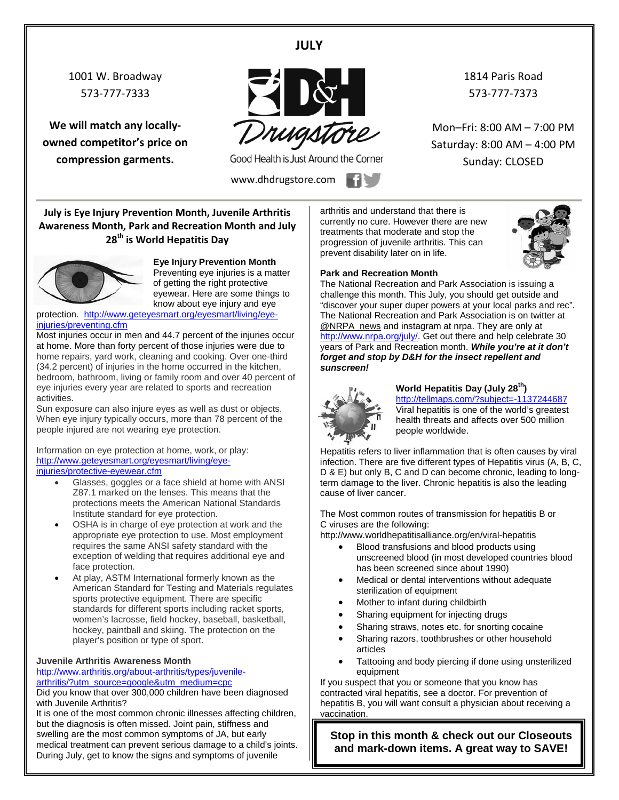#### **JULY**

1001 W. Broadway 573-777-7333

**We will match any locallyowned competitor's price on compression garments.**



Good Health is Just Around the Corner

www.dhdrugstore.com **1** 

1814 Paris Road 573-777-7373

Mon–Fri: 8:00 AM – 7:00 PM Saturday: 8:00 AM – 4:00 PM Sunday: CLOSED

**July is Eye Injury Prevention Month, Juvenile Arthritis Awareness Month, Park and Recreation Month and July 28th is World Hepatitis Day** 



**Eye Injury Prevention Month** Preventing eye injuries is a matter of getting the right protective eyewear. Here are some things to

know about eye injury and eye protection. [http://www.geteyesmart.org/eyesmart/living/eye-](http://www.geteyesmart.org/eyesmart/living/eye-injuries/preventing.cfm)

[injuries/preventing.cfm](http://www.geteyesmart.org/eyesmart/living/eye-injuries/preventing.cfm)

Most injuries occur in men and 44.7 percent of the injuries occur at home. More than forty percent of those injuries were due to home repairs, yard work, cleaning and cooking. Over one-third (34.2 percent) of injuries in the home occurred in the kitchen, bedroom, bathroom, living or family room and over 40 percent of eye injuries every year are related to sports and recreation activities.

Sun exposure can also injure eyes as well as dust or objects. When eye injury typically occurs, more than 78 percent of the people injured are not wearing eye protection.

Information on eye protection at home, work, or play: [http://www.geteyesmart.org/eyesmart/living/eye](http://www.geteyesmart.org/eyesmart/living/eye-injuries/protective-eyewear.cfm)[injuries/protective-eyewear.cfm](http://www.geteyesmart.org/eyesmart/living/eye-injuries/protective-eyewear.cfm)

- Glasses, goggles or a face shield at home with ANSI Z87.1 marked on the lenses. This means that the protections meets the American National Standards Institute standard for eye protection.
- OSHA is in charge of eye protection at work and the appropriate eye protection to use. Most employment requires the same ANSI safety standard with the exception of welding that requires additional eye and face protection.
- At play, ASTM International formerly known as the American Standard for Testing and Materials regulates sports protective equipment. There are specific standards for different sports including racket sports, women's lacrosse, field hockey, baseball, basketball, hockey, paintball and skiing. The protection on the player's position or type of sport.

#### **Juvenile Arthritis Awareness Month**

[http://www.arthritis.org/about-arthritis/types/juvenile](http://www.arthritis.org/about-arthritis/types/juvenile-arthritis/?utm_source=google&utm_medium=cpc)[arthritis/?utm\\_source=google&utm\\_medium=cpc](http://www.arthritis.org/about-arthritis/types/juvenile-arthritis/?utm_source=google&utm_medium=cpc)

Did you know that over 300,000 children have been diagnosed with Juvenile Arthritis?

It is one of the most common chronic illnesses affecting children, but the diagnosis is often missed. Joint pain, stiffness and swelling are the most common symptoms of JA, but early medical treatment can prevent serious damage to a child's joints. During July, get to know the signs and symptoms of juvenile

arthritis and understand that there is currently no cure. However there are new treatments that moderate and stop the progression of juvenile arthritis. This can prevent disability later on in life.



#### **Park and Recreation Month**

The National Recreation and Park Association is issuing a challenge this month. This July, you should get outside and "discover your super duper powers at your local parks and rec". The National Recreation and Park Association is on twitter at [@NRPA\\_news](https://twitter.com/NRPA_news) and instagram at nrpa. They are only at [http://www.nrpa.org/july/.](http://www.nrpa.org/july/) Get out there and help celebrate 30 years of Park and Recreation month. *While you're at it don't forget and stop by D&H for the insect repellent and sunscreen!*



#### **World Hepatitis Day (July 28th)**

<http://tellmaps.com/?subject=-1137244687> Viral hepatitis is one of the world's greatest health threats and affects over 500 million people worldwide.

Hepatitis refers to liver inflammation that is often causes by viral infection. There are five different types of Hepatitis virus (A, B, C, D & E) but only B, C and D can become chronic, leading to longterm damage to the liver. Chronic hepatitis is also the leading cause of liver cancer.

The Most common routes of transmission for [hepatitis B or](http://www.worldhepatitisalliance.org/en/about-viral-hepatitis.html)  [C](http://www.worldhepatitisalliance.org/en/about-viral-hepatitis.html) viruses are the following:

http://www.worldhepatitisalliance.org/en/viral-hepatitis

- Blood transfusions and blood products using unscreened blood (in most developed countries blood has been screened since about 1990)
- Medical or dental interventions without adequate sterilization of equipment
- Mother to infant during childbirth
- Sharing equipment for injecting drugs
- Sharing straws, notes etc. for snorting cocaine
- Sharing razors, toothbrushes or other household articles
- Tattooing and body piercing if done using unsterilized equipment

If you suspect that you or someone that you know has contracted viral hepatitis, see a doctor. For prevention of hepatitis B, you will want consult a physician about receiving a vaccination.

**Stop in this month & check out our Closeouts and mark-down items. A great way to SAVE!**